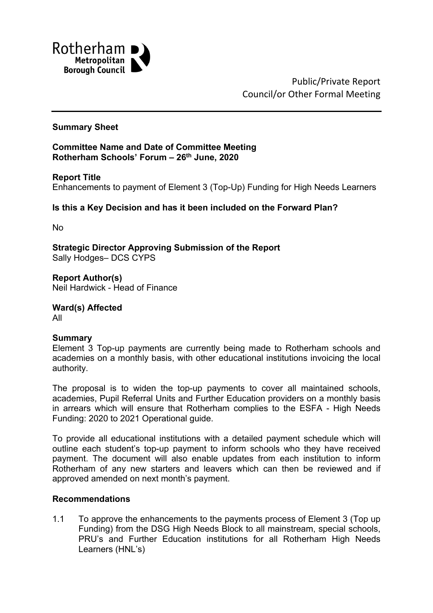

Public/Private Report Council/or Other Formal Meeting

#### **Summary Sheet**

**Committee Name and Date of Committee Meeting Rotherham Schools' Forum – 26th June, 2020**

#### **Report Title**

Enhancements to payment of Element 3 (Top-Up) Funding for High Needs Learners

## **Is this a Key Decision and has it been included on the Forward Plan?**

No

**Strategic Director Approving Submission of the Report** Sally Hodges– DCS CYPS

**Report Author(s)** Neil Hardwick - Head of Finance

**Ward(s) Affected**

All

#### **Summary**

Element 3 Top-up payments are currently being made to Rotherham schools and academies on a monthly basis, with other educational institutions invoicing the local authority.

The proposal is to widen the top-up payments to cover all maintained schools, academies, Pupil Referral Units and Further Education providers on a monthly basis in arrears which will ensure that Rotherham complies to the ESFA - High Needs Funding: 2020 to 2021 Operational guide.

To provide all educational institutions with a detailed payment schedule which will outline each student's top-up payment to inform schools who they have received payment. The document will also enable updates from each institution to inform Rotherham of any new starters and leavers which can then be reviewed and if approved amended on next month's payment.

#### **Recommendations**

1.1 To approve the enhancements to the payments process of Element 3 (Top up Funding) from the DSG High Needs Block to all mainstream, special schools, PRU's and Further Education institutions for all Rotherham High Needs Learners (HNL's)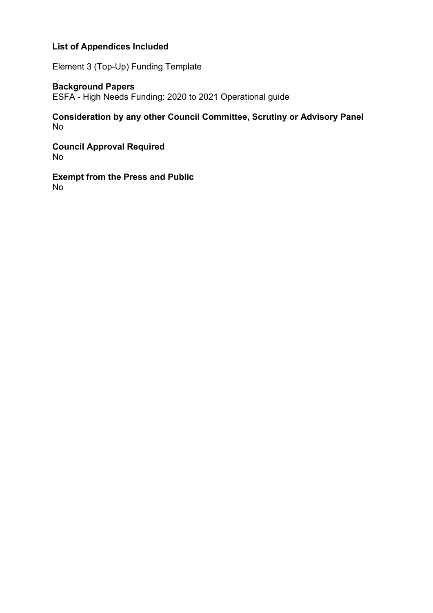# **List of Appendices Included**

Element 3 (Top-Up) Funding Template

# **Background Papers**

ESFA - High Needs Funding: 2020 to 2021 Operational guide

# **Consideration by any other Council Committee, Scrutiny or Advisory Panel** No

**Council Approval Required** No

**Exempt from the Press and Public** No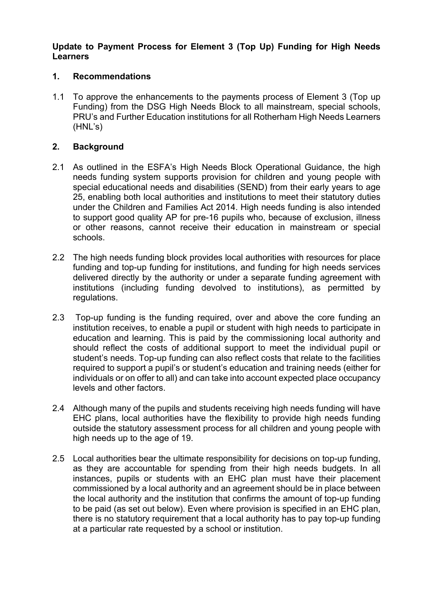### **Update to Payment Process for Element 3 (Top Up) Funding for High Needs Learners**

### **1. Recommendations**

1.1 To approve the enhancements to the payments process of Element 3 (Top up Funding) from the DSG High Needs Block to all mainstream, special schools, PRU's and Further Education institutions for all Rotherham High Needs Learners (HNL's)

### **2. Background**

- 2.1 As outlined in the ESFA's High Needs Block Operational Guidance, the high needs funding system supports provision for children and young people with special educational needs and disabilities (SEND) from their early years to age 25, enabling both local authorities and institutions to meet their statutory duties under the Children and Families Act 2014. High needs funding is also intended to support good quality AP for pre-16 pupils who, because of exclusion, illness or other reasons, cannot receive their education in mainstream or special schools.
- 2.2 The high needs funding block provides local authorities with resources for place funding and top-up funding for institutions, and funding for high needs services delivered directly by the authority or under a separate funding agreement with institutions (including funding devolved to institutions), as permitted by regulations.
- 2.3 Top-up funding is the funding required, over and above the core funding an institution receives, to enable a pupil or student with high needs to participate in education and learning. This is paid by the commissioning local authority and should reflect the costs of additional support to meet the individual pupil or student's needs. Top-up funding can also reflect costs that relate to the facilities required to support a pupil's or student's education and training needs (either for individuals or on offer to all) and can take into account expected place occupancy levels and other factors.
- 2.4 Although many of the pupils and students receiving high needs funding will have EHC plans, local authorities have the flexibility to provide high needs funding outside the statutory assessment process for all children and young people with high needs up to the age of 19.
- 2.5 Local authorities bear the ultimate responsibility for decisions on top-up funding, as they are accountable for spending from their high needs budgets. In all instances, pupils or students with an EHC plan must have their placement commissioned by a local authority and an agreement should be in place between the local authority and the institution that confirms the amount of top-up funding to be paid (as set out below). Even where provision is specified in an EHC plan, there is no statutory requirement that a local authority has to pay top-up funding at a particular rate requested by a school or institution.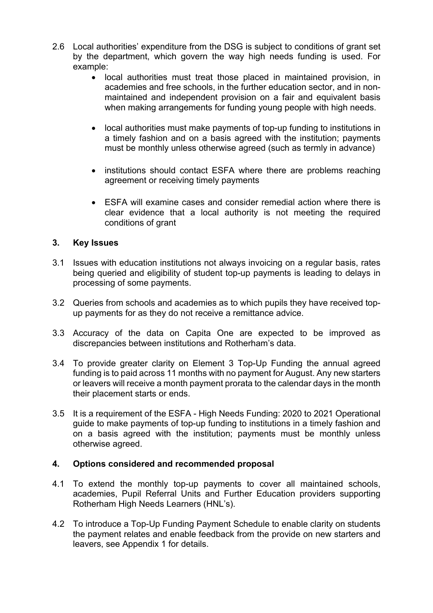- 2.6 Local authorities' expenditure from the DSG is subject to conditions of grant set by the department, which govern the way high needs funding is used. For example:
	- local authorities must treat those placed in maintained provision, in academies and free schools, in the further education sector, and in nonmaintained and independent provision on a fair and equivalent basis when making arrangements for funding young people with high needs.
	- local authorities must make payments of top-up funding to institutions in a timely fashion and on a basis agreed with the institution; payments must be monthly unless otherwise agreed (such as termly in advance)
	- institutions should contact ESFA where there are problems reaching agreement or receiving timely payments
	- ESFA will examine cases and consider remedial action where there is clear evidence that a local authority is not meeting the required conditions of grant

## **3. Key Issues**

- 3.1 Issues with education institutions not always invoicing on a regular basis, rates being queried and eligibility of student top-up payments is leading to delays in processing of some payments.
- 3.2 Queries from schools and academies as to which pupils they have received topup payments for as they do not receive a remittance advice.
- 3.3 Accuracy of the data on Capita One are expected to be improved as discrepancies between institutions and Rotherham's data.
- 3.4 To provide greater clarity on Element 3 Top-Up Funding the annual agreed funding is to paid across 11 months with no payment for August. Any new starters or leavers will receive a month payment prorata to the calendar days in the month their placement starts or ends.
- 3.5 It is a requirement of the ESFA High Needs Funding: 2020 to 2021 Operational guide to make payments of top-up funding to institutions in a timely fashion and on a basis agreed with the institution; payments must be monthly unless otherwise agreed.

#### **4. Options considered and recommended proposal**

- 4.1 To extend the monthly top-up payments to cover all maintained schools, academies, Pupil Referral Units and Further Education providers supporting Rotherham High Needs Learners (HNL's).
- 4.2 To introduce a Top-Up Funding Payment Schedule to enable clarity on students the payment relates and enable feedback from the provide on new starters and leavers, see Appendix 1 for details.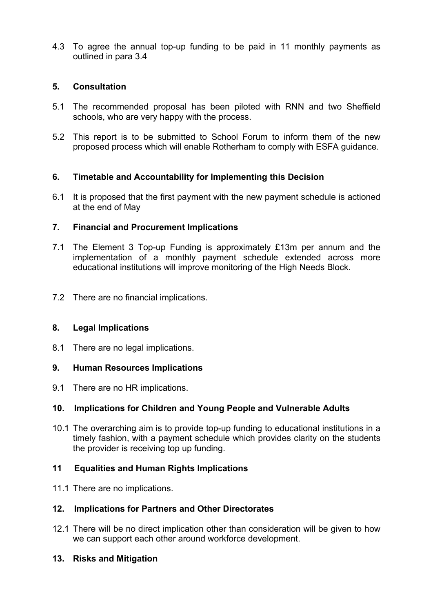4.3 To agree the annual top-up funding to be paid in 11 monthly payments as outlined in para 3.4

## **5. Consultation**

- 5.1 The recommended proposal has been piloted with RNN and two Sheffield schools, who are very happy with the process.
- 5.2 This report is to be submitted to School Forum to inform them of the new proposed process which will enable Rotherham to comply with ESFA guidance.

# **6. Timetable and Accountability for Implementing this Decision**

6.1 It is proposed that the first payment with the new payment schedule is actioned at the end of May

## **7. Financial and Procurement Implications**

- 7.1 The Element 3 Top-up Funding is approximately £13m per annum and the implementation of a monthly payment schedule extended across more educational institutions will improve monitoring of the High Needs Block.
- 7.2 There are no financial implications.

#### **8. Legal Implications**

8.1 There are no legal implications.

#### **9. Human Resources Implications**

9.1 There are no HR implications.

#### **10. Implications for Children and Young People and Vulnerable Adults**

10.1 The overarching aim is to provide top-up funding to educational institutions in a timely fashion, with a payment schedule which provides clarity on the students the provider is receiving top up funding.

# **11 Equalities and Human Rights Implications**

11.1 There are no implications.

#### **12. Implications for Partners and Other Directorates**

12.1 There will be no direct implication other than consideration will be given to how we can support each other around workforce development.

#### **13. Risks and Mitigation**